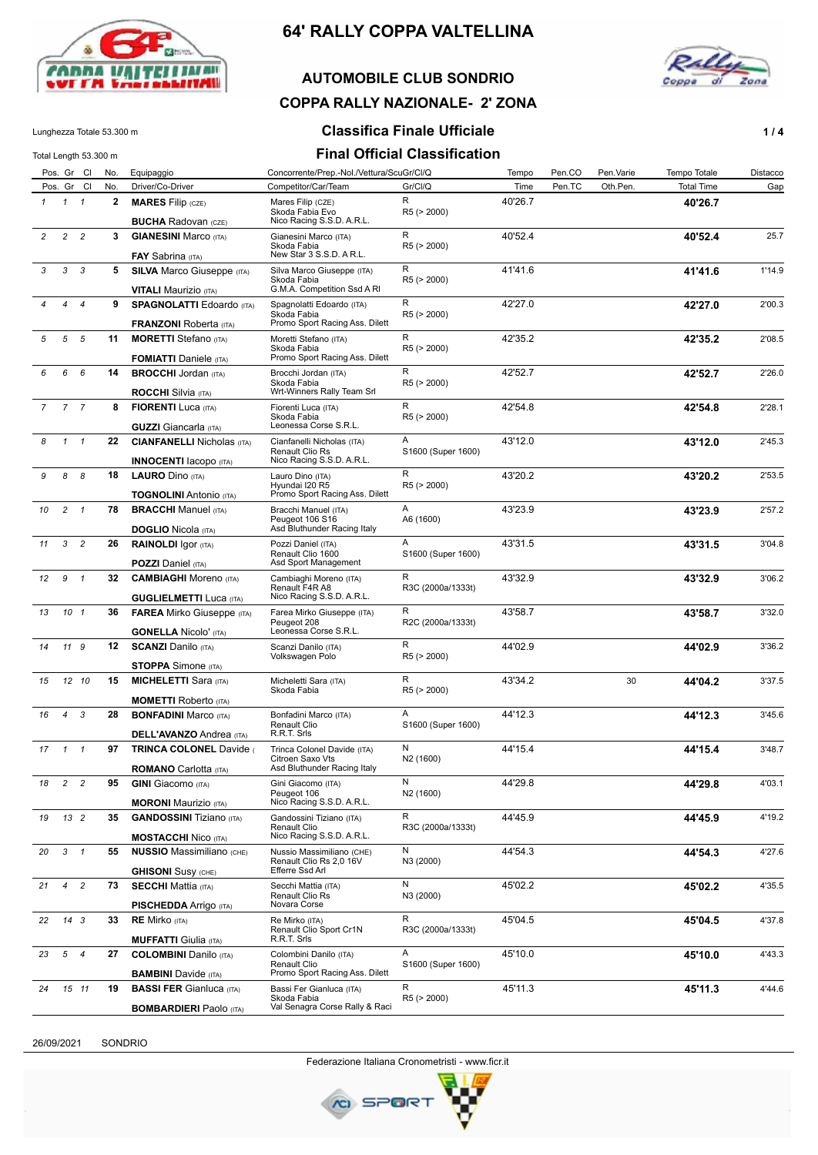

#### **AUTOMOBILE CLUB SONDRIO**



### **COPPA RALLY NAZIONALE- 2' ZONA**

#### Lunghezza Totale 53.300 m **Classifica Finale Ufficiale 1/4**

| Total Length 53.300 m |                 |                          |             |                                                                     |                                                                           | <b>Final Official Classification</b> |         |        |           |                   |          |
|-----------------------|-----------------|--------------------------|-------------|---------------------------------------------------------------------|---------------------------------------------------------------------------|--------------------------------------|---------|--------|-----------|-------------------|----------|
|                       |                 | Pos. Gr Cl               | No.         | Equipaggio                                                          | Concorrente/Prep.-Nol./Vettura/ScuGr/Cl/Q                                 |                                      | Tempo   | Pen.CO | Pen.Varie | Tempo Totale      | Distacco |
|                       |                 | Pos. Gr Cl               | No.         | Driver/Co-Driver                                                    | Competitor/Car/Team                                                       | Gr/Cl/Q                              | Time    | Pen.TC | Oth.Pen.  | <b>Total Time</b> | Gap      |
| $\mathcal I$          | $\mathcal{I}$   | $\overline{\phantom{a}}$ | 2           | <b>MARES</b> Filip (CZE)<br><b>BUCHA Radovan (CZE)</b>              | Mares Filip (CZE)<br>Skoda Fabia Evo<br>Nico Racing S.S.D. A.R.L.         | R<br>R5 (> 2000)                     | 40'26.7 |        |           | 40'26.7           |          |
| $\overline{c}$        | $\overline{c}$  | $\overline{c}$           | $3^{\circ}$ | <b>GIANESINI Marco (ITA)</b>                                        | Gianesini Marco (ITA)                                                     | R                                    | 40'52.4 |        |           | 40'52.4           | 25.7     |
|                       |                 |                          |             | <b>FAY</b> Sabrina (ITA)                                            | Skoda Fabia<br>New Star 3 S.S.D. A R.L.                                   | R5 (> 2000)                          |         |        |           |                   |          |
| 3                     | 3               | $\overline{\mathbf{3}}$  | 5           | <b>SILVA Marco Giuseppe (ITA)</b><br><b>VITALI Maurizio</b> (ITA)   | Silva Marco Giuseppe (ITA)<br>Skoda Fabia<br>G.M.A. Competition Ssd A RI  | R<br>R5 (> 2000)                     | 41'41.6 |        |           | 41'41.6           | 1'14.9   |
|                       | 4               | $\overline{4}$           | 9           | <b>SPAGNOLATTI Edoardo (ITA)</b>                                    | Spagnolatti Edoardo (ITA)<br>Skoda Fabia                                  | R<br>R5 (> 2000)                     | 42'27.0 |        |           | 42'27.0           | 2'00.3   |
| 5                     | 5 5             |                          | 11          | <b>FRANZONI</b> Roberta (ITA)<br><b>MORETTI</b> Stefano (ITA)       | Promo Sport Racing Ass. Dilett<br>Moretti Stefano (ITA)                   | R                                    | 42'35.2 |        |           |                   | 2'08.5   |
|                       |                 |                          |             | <b>FOMIATTI</b> Daniele (ITA)                                       | Skoda Fabia<br>Promo Sport Racing Ass. Dilett                             | R5 (> 2000)                          |         |        |           | 42'35.2           |          |
| 6                     | 6               | $6\overline{6}$          | 14          | <b>BROCCHI</b> Jordan (ITA)<br><b>ROCCHI</b> Silvia (ITA)           | Brocchi Jordan (ITA)<br>Skoda Fabia<br>Wrt-Winners Rally Team Srl         | R<br>R5 (> 2000)                     | 42'52.7 |        |           | 42'52.7           | 2'26.0   |
| $\overline{7}$        | 7 <sub>7</sub>  |                          | 8           | <b>FIORENTI</b> Luca (ITA)                                          | Fiorenti Luca (ITA)                                                       | R                                    | 42'54.8 |        |           | 42'54.8           | 2'28.1   |
|                       |                 |                          |             | <b>GUZZI</b> Giancarla (ITA)                                        | Skoda Fabia<br>Leonessa Corse S.R.L.                                      | R5 (> 2000)                          |         |        |           |                   |          |
| 8                     | $1 \quad 1$     |                          | 22          | <b>CIANFANELLI Nicholas (ITA)</b>                                   | Cianfanelli Nicholas (ITA)<br>Renault Clio Rs                             | A<br>S1600 (Super 1600)              | 43'12.0 |        |           | 43'12.0           | 2'45.3   |
|                       |                 |                          |             | <b>INNOCENTI</b> Iacopo (ITA)                                       | Nico Racing S.S.D. A.R.L.                                                 |                                      |         |        |           |                   |          |
| 9                     | 8               | - 8                      | 18          | <b>LAURO</b> Dino (ITA)                                             | Lauro Dino (ITA)                                                          | R                                    | 43'20.2 |        |           | 43'20.2           | 2'53.5   |
|                       |                 |                          |             | <b>TOGNOLINI Antonio (ITA)</b>                                      | Hyundai I20 R5<br>Promo Sport Racing Ass. Dilett                          | R5 (> 2000)                          |         |        |           |                   |          |
| 10                    | $2 \quad 1$     |                          | 78          | <b>BRACCHI</b> Manuel (ITA)                                         | Bracchi Manuel (ITA)<br>Peugeot 106 S16<br>Asd Bluthunder Racing Italy    | Α<br>A6 (1600)                       | 43'23.9 |        |           | 43'23.9           | 2'57.2   |
| 11                    | 3               | $\overline{c}$           | 26          | <b>DOGLIO</b> Nicola (ITA)                                          | Pozzi Daniel (ITA)                                                        | Α                                    | 43'31.5 |        |           |                   | 3'04.8   |
|                       |                 |                          |             | <b>RAINOLDI</b> Igor (ITA)<br><b>POZZI</b> Daniel (ITA)             | Renault Clio 1600<br>Asd Sport Management                                 | S1600 (Super 1600)                   |         |        |           | 43'31.5           |          |
| 12                    | $9 \t1$         |                          | 32          | <b>CAMBIAGHI Moreno (ITA)</b>                                       | Cambiaghi Moreno (ITA)<br>Renault F4R A8<br>Nico Racing S.S.D. A.R.L.     | R<br>R3C (2000a/1333t)               | 43'32.9 |        |           | 43'32.9           | 3'06.2   |
| 13                    | 10 <sub>1</sub> |                          | 36          | <b>GUGLIELMETTI</b> Luca (ITA)<br><b>FAREA</b> Mirko Giuseppe (ITA) |                                                                           | R                                    | 43'58.7 |        |           | 43'58.7           | 3'32.0   |
|                       |                 |                          |             | <b>GONELLA Nicolo' (ITA)</b>                                        | Farea Mirko Giuseppe (ITA)<br>Peugeot 208<br>Leonessa Corse S.R.L.        | R2C (2000a/1333t)                    |         |        |           |                   |          |
| 14                    | 11 9            |                          | 12          | <b>SCANZI</b> Danilo (ITA)                                          | Scanzi Danilo (ITA)<br>Volkswagen Polo                                    | R<br>R5 (> 2000)                     | 44'02.9 |        |           | 44'02.9           | 3'36.2   |
|                       |                 |                          |             | <b>STOPPA</b> Simone (ITA)                                          |                                                                           |                                      |         |        |           |                   |          |
| 15                    |                 | 12 10                    | 15          | <b>MICHELETTI Sara (ITA)</b>                                        | Micheletti Sara (ITA)<br>Skoda Fabia                                      | R<br>R5 (> 2000)                     | 43'34.2 |        | 30        | 44'04.2           | 3'37.5   |
|                       |                 |                          |             | <b>MOMETTI Roberto (ITA)</b>                                        |                                                                           |                                      |         |        |           |                   |          |
| 16                    | $\overline{4}$  | $\mathbf{3}$             | 28          | <b>BONFADINI Marco (ITA)</b><br><b>DELL'AVANZO Andrea (ITA)</b>     | Bonfadini Marco (ITA)<br>Renault Clio<br>R.R.T. Srls                      | Α<br>S1600 (Super 1600)              | 44'12.3 |        |           | 44'12.3           | 3'45.6   |
| 17                    | $\mathcal{I}$   | $\overline{1}$           | 97          | <b>TRINCA COLONEL Davide (</b>                                      | Trinca Colonel Davide (ITA)                                               | N                                    | 44'15.4 |        |           | 44'15.4           | 3'48.7   |
|                       |                 |                          |             | <b>ROMANO</b> Carlotta (ITA)                                        | Citroen Saxo Vts<br>Asd Bluthunder Racing Italy                           | N <sub>2</sub> (1600)                |         |        |           |                   |          |
| 18                    | 2 <sub>2</sub>  |                          | 95          | <b>GINI</b> Giacomo (ITA)                                           | Gini Giacomo (ITA)                                                        | N                                    | 44'29.8 |        |           | 44'29.8           | 4'03.1   |
|                       |                 |                          |             |                                                                     | Peugeot 106                                                               | N <sub>2</sub> (1600)                |         |        |           |                   |          |
|                       |                 |                          |             | <b>MORONI</b> Maurizio (ITA)                                        | Nico Racing S.S.D. A.R.L.                                                 | R                                    | 44'45.9 |        |           |                   |          |
| 19                    |                 | 13 <sup>2</sup>          | 35          | <b>GANDOSSINI</b> Tiziano (ITA)                                     | Gandossini Tiziano (ITA)<br>Renault Clio                                  | R3C (2000a/1333t)                    |         |        |           | 44'45.9           | 4'19.2   |
|                       |                 |                          |             | <b>MOSTACCHI Nico (ITA)</b>                                         | Nico Racing S.S.D. A.R.L.                                                 |                                      |         |        |           |                   |          |
| 20                    | $3 \quad 1$     |                          | 55          | <b>NUSSIO Massimiliano (CHE)</b><br><b>GHISONI</b> Susy (CHE)       | Nussio Massimiliano (CHE)<br>Renault Clio Rs 2,0 16V<br>Efferre Ssd Arl   | N<br>N3 (2000)                       | 44'54.3 |        |           | 44'54.3           | 4'27.6   |
| 21                    |                 | $4\quad 2$               | 73          | <b>SECCHI Mattia (ITA)</b>                                          | Secchi Mattia (ITA)<br><b>Renault Clio Rs</b>                             | N<br>N3 (2000)                       | 45'02.2 |        |           | 45'02.2           | 4'35.5   |
|                       |                 |                          |             | <b>PISCHEDDA</b> Arrigo (ITA)                                       | Novara Corse                                                              | R                                    | 45'04.5 |        |           |                   |          |
| 22                    |                 | 14 <sup>3</sup>          | 33          | <b>RE Mirko</b> (ITA)<br><b>MUFFATTI</b> Giulia (ITA)               | Re Mirko (ITA)<br>Renault Clio Sport Cr1N<br>R.R.T. Srls                  | R3C (2000a/1333t)                    |         |        |           | 45'04.5           | 4'37.8   |
| 23                    | 5 <sub>4</sub>  |                          | 27          | <b>COLOMBINI</b> Danilo (ITA)                                       | Colombini Danilo (ITA)<br>Renault Clio                                    | Α<br>S1600 (Super 1600)              | 45'10.0 |        |           | 45'10.0           | 4'43.3   |
|                       |                 |                          |             | <b>BAMBINI</b> Davide (ITA)                                         | Promo Sport Racing Ass. Dilett                                            | R                                    |         |        |           |                   |          |
| 24                    |                 | 15 11                    | 19          | <b>BASSI FER Gianluca (ITA)</b><br><b>BOMBARDIERI Paolo</b> (ITA)   | Bassi Fer Gianluca (ITA)<br>Skoda Fabia<br>Val Senagra Corse Rally & Raci | R5 (> 2000)                          | 45'11.3 |        |           | 45'11.3           | 4'44.6   |

26/09/2021 SONDRIO

**BOMBARDIERI** Paolo (ITA)

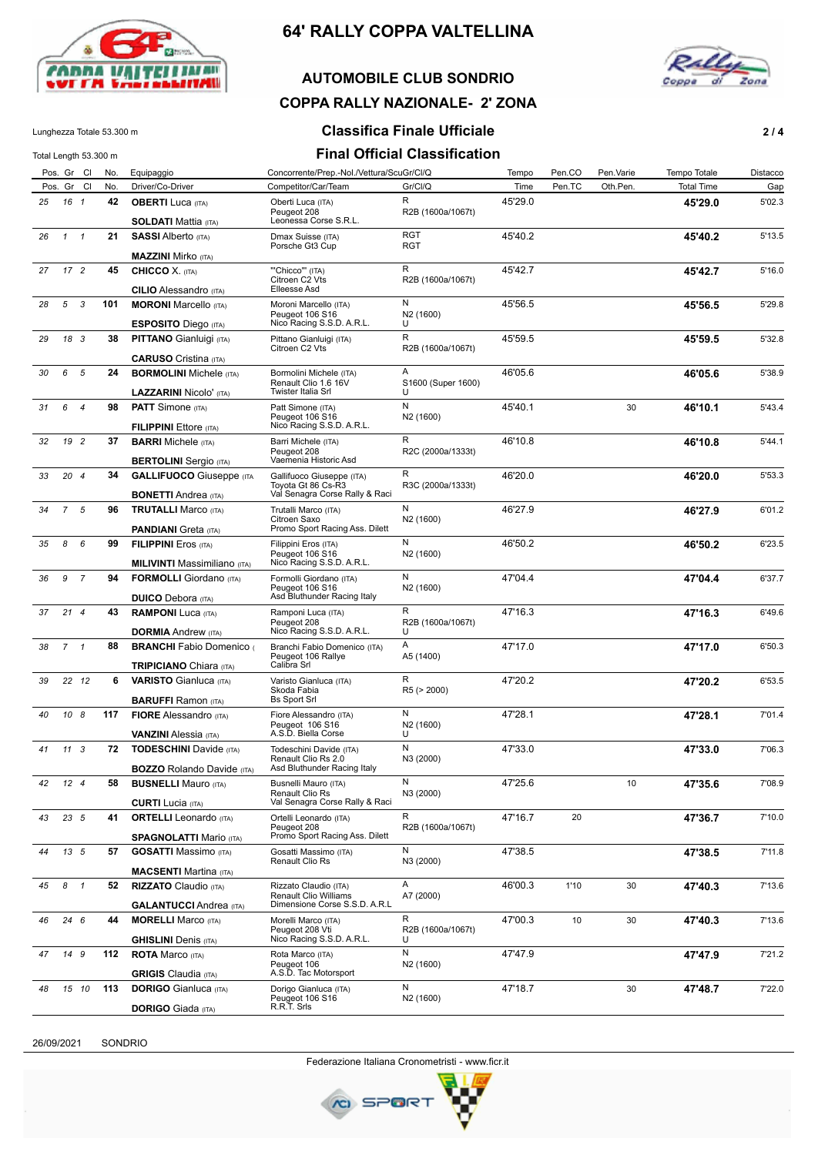

### **AUTOMOBILE CLUB SONDRIO**



# **COPPA RALLY NAZIONALE- 2' ZONA**

#### Lunghezza Totale 53.300 m **Classifica Finale Ufficiale 2 / 4**

Total Length 53.300 m **Final Official Classification**

| Total Length 53.300 m |                 |                |     |                                                                       |                                                                      | Filidi Ullitidi Uldəsilitdilm |         |        |           |                   |          |
|-----------------------|-----------------|----------------|-----|-----------------------------------------------------------------------|----------------------------------------------------------------------|-------------------------------|---------|--------|-----------|-------------------|----------|
|                       | Pos. Gr Cl      |                | No. | Equipaggio                                                            | Concorrente/Prep.-Nol./Vettura/ScuGr/Cl/Q                            |                               | Tempo   | Pen.CO | Pen.Varie | Tempo Totale      | Distacco |
|                       | Pos. Gr Cl      |                | No. | Driver/Co-Driver                                                      | Competitor/Car/Team                                                  | Gr/Cl/Q                       | Time    | Pen.TC | Oth.Pen.  | <b>Total Time</b> | Gap      |
| 25                    | 16 1            |                | 42  | <b>OBERTI</b> Luca (ITA)<br>SOLDATI Mattia (ודג <i>ּ</i>              | Oberti Luca (ITA)<br>Peugeot 208<br>Leonessa Corse S.R.L.            | R<br>R2B (1600a/1067t)        | 45'29.0 |        |           | 45'29.0           | 5'02.3   |
| 26                    | $\mathcal{I}$   | $\mathbf{1}$   | 21  | <b>SASSI</b> Alberto (ITA)                                            | Dmax Suisse (ITA)                                                    | <b>RGT</b>                    | 45'40.2 |        |           | 45'40.2           | 5'13.5   |
|                       |                 |                |     | <b>MAZZINI</b> Mirko (ITA)                                            | Porsche Gt3 Cup                                                      | <b>RGT</b>                    |         |        |           |                   |          |
| 27                    | 17 <sup>2</sup> |                | 45  | <b>CHICCO</b> X. (ITA)                                                | "Chicco"" (ITA)                                                      | R                             | 45'42.7 |        |           | 45'42.7           | 5'16.0   |
|                       |                 |                |     | <b>CILIO</b> Alessandro (ITA)                                         | Citroen C2 Vts<br>Elleesse Asd                                       | R2B (1600a/1067t)             |         |        |           |                   |          |
| 28                    | 5               | 3              | 101 | <b>MORONI</b> Marcello (ITA)                                          | Moroni Marcello (ITA)                                                | N                             | 45'56.5 |        |           | 45'56.5           | 5'29.8   |
|                       |                 |                |     | <b>ESPOSITO</b> Diego (ITA)                                           | Peugeot 106 S16<br>Nico Racing S.S.D. A.R.L.                         | N <sub>2</sub> (1600)<br>U    |         |        |           |                   |          |
| 29                    | 18 3            |                | 38  | <b>PITTANO</b> Gianluigi (ITA)                                        | Pittano Gianluigi (ITA)<br>Citroen C2 Vts                            | R<br>R2B (1600a/1067t)        | 45'59.5 |        |           | 45'59.5           | 5'32.8   |
|                       |                 |                |     | <b>CARUSO</b> Cristina (ITA)                                          |                                                                      |                               |         |        |           |                   |          |
| 30                    | 6               | 5              | 24  | <b>BORMOLINI</b> Michele (ITA)                                        | Bormolini Michele (ITA)<br>Renault Clio 1.6 16V                      | Α<br>S1600 (Super 1600)       | 46'05.6 |        |           | 46'05.6           | 5'38.9   |
|                       |                 |                |     | <b>LAZZARINI Nicolo' (ITA)</b>                                        | Twister Italia Srl                                                   | U                             |         |        |           |                   |          |
| 31                    | 6               | $\overline{4}$ | 98  | <b>PATT</b> Simone (ITA)                                              | Patt Simone (ITA)                                                    | N                             | 45'40.1 |        | 30        | 46'10.1           | 5'43.4   |
|                       |                 |                |     | <b>FILIPPINI</b> Ettore (ITA)                                         | Peugeot 106 S16<br>Nico Racing S.S.D. A.R.L.                         | N <sub>2</sub> (1600)         |         |        |           |                   |          |
| 32                    | 19 2            |                | 37  | <b>BARRI</b> Michele (ITA)                                            | Barri Michele (ITA)                                                  | R                             | 46'10.8 |        |           | 46'10.8           | 5'44.1   |
|                       |                 |                |     | <b>BERTOLINI</b> Sergio (ITA)                                         | Peugeot 208<br>Vaemenia Historic Asd                                 | R2C (2000a/1333t)             |         |        |           |                   |          |
| 33                    | 204             |                | 34  | <b>GALLIFUOCO</b> Giuseppe (ITA                                       | Gallifuoco Giuseppe (ITA)                                            | R                             | 46'20.0 |        |           | 46'20.0           | 5'53.3   |
|                       |                 |                |     |                                                                       | Toyota Gt 86 Cs-R3<br>Val Senagra Corse Rally & Raci                 | R3C (2000a/1333t)             |         |        |           |                   |          |
|                       | $\overline{7}$  | 5              | 96  | <b>BONETTI</b> Andrea (ITA)<br><b>TRUTALLI Marco (ITA)</b>            | Trutalli Marco (ITA)                                                 | N                             | 46'27.9 |        |           |                   | 6'01.2   |
| 34                    |                 |                |     |                                                                       | Citroen Saxo                                                         | N <sub>2</sub> (1600)         |         |        |           | 46'27.9           |          |
|                       |                 |                |     | <b>PANDIANI</b> Greta (ITA)                                           | Promo Sport Racing Ass. Dilett                                       |                               |         |        |           |                   |          |
| 35                    | 8               | 6              | 99  | <b>FILIPPINI</b> Eros (ITA)                                           | Filippini Eros (ITA)<br>Peugeot 106 S16<br>Nico Racing S.S.D. A.R.L. | N<br>N <sub>2</sub> (1600)    | 46'50.2 |        |           | 46'50.2           | 6'23.5   |
| 36                    | 9               | $\overline{7}$ | 94  | <b>MILIVINTI Massimiliano</b> (ITA)<br><b>FORMOLLI</b> Giordano (ITA) | Formolli Giordano (ITA)                                              | N                             | 47'04.4 |        |           |                   | 6'37.7   |
|                       |                 |                |     |                                                                       | Peugeot 106 S16                                                      | N <sub>2</sub> (1600)         |         |        |           | 47'04.4           |          |
|                       |                 |                |     | <b>DUICO</b> Debora (ITA)                                             | Asd Bluthunder Racing Italy                                          | R                             |         |        |           |                   |          |
| 37                    | 214             |                | 43  | <b>RAMPONI Luca (ITA)</b><br><b>DORMIA</b> Andrew (ITA)               | Ramponi Luca (ITA)<br>Peugeot 208<br>Nico Racing S.S.D. A.R.L.       | R2B (1600a/1067t)<br>U        | 47'16.3 |        |           | 47'16.3           | 6'49.6   |
| 38                    | 7               | $\mathbf{1}$   |     | 88<br><b>BRANCHI</b> Fabio Domenico                                   | Branchi Fabio Domenico (ITA)                                         | Α                             | 47'17.0 |        |           | 47'17.0           | 6'50.3   |
|                       |                 |                |     | <b>TRIPICIANO</b> Chiara (ITA)                                        | Peugeot 106 Rallye<br>Calibra Srl                                    | A5 (1400)                     |         |        |           |                   |          |
| 39                    |                 | 22 12          | 6   | <b>VARISTO</b> Gianluca (ITA)                                         | R<br>Varisto Gianluca (ITA)                                          |                               | 47'20.2 |        |           | 47'20.2           | 6'53.5   |
|                       |                 |                |     | <b>BARUFFI</b> Ramon (ITA)                                            | Skoda Fabia<br><b>Bs Sport Srl</b>                                   | R5 (> 2000)                   |         |        |           |                   |          |
| 40                    | 10 8            |                |     | 117<br><b>FIORE</b> Alessandro (ITA)                                  | Fiore Alessandro (ITA)                                               | N                             | 47'28.1 |        |           | 47'28.1           | 7'01.4   |
|                       |                 |                |     | Peugeot 106 S16                                                       | A.S.D. Biella Corse                                                  | N <sub>2</sub> (1600)         |         |        |           |                   |          |
| 41                    | 11              | 3              | 72  | <b>VANZINI</b> Alessia (ITA)<br><b>TODESCHINI</b> Davide (ITA)        | Todeschini Davide (ITA)                                              | U<br>N                        | 47'33.0 |        |           | 47'33.0           | 7'06.3   |
|                       |                 |                |     |                                                                       | Renault Clio Rs 2.0                                                  | N3 (2000)                     |         |        |           |                   |          |
|                       |                 |                |     | <b>BOZZO</b> Rolando Davide (ITA)                                     | Asd Bluthunder Racing Italy                                          | N                             |         |        |           |                   |          |
| 42                    | 12 <sup>4</sup> |                | 58  | <b>BUSNELLI Mauro (ITA)</b>                                           | Busnelli Mauro (ITA)<br>Renault Clio Rs                              | N3 (2000)                     | 47'25.6 |        | 10        | 47'35.6           | 7'08.9   |
|                       |                 |                |     | <b>CURTI</b> Lucia (ITA)                                              | Val Senagra Corse Rally & Raci                                       |                               |         |        |           |                   |          |
| 43                    | 23 5            |                | 41  | <b>ORTELLI</b> Leonardo (ITA)                                         | Ortelli Leonardo (ITA)<br>Peugeot 208                                | R<br>R2B (1600a/1067t)        | 47'16.7 | 20     |           | 47'36.7           | 7'10.0   |
|                       |                 |                |     | <b>SPAGNOLATTI Mario (ITA)</b>                                        | Promo Sport Racing Ass. Dilett                                       |                               |         |        |           |                   |          |
| 44                    | 13 5            |                | 57  | <b>GOSATTI Massimo</b> (ITA)                                          | Gosatti Massimo (ITA)<br>Renault Clio Rs                             | N<br>N3 (2000)                | 47'38.5 |        |           | 47'38.5           | 7'11.8   |
|                       |                 |                |     | <b>MACSENTI Martina</b> (ITA)                                         |                                                                      |                               |         |        |           |                   |          |
| 45                    | 8               | $\mathbf{1}$   | 52  | <b>RIZZATO</b> Claudio (ITA)                                          | Rizzato Claudio (ITA)<br>Renault Clio Williams                       | Α<br>A7 (2000)                | 46'00.3 | 1'10   | 30        | 47'40.3           | 7'13.6   |
|                       |                 |                |     | <b>GALANTUCCI</b> Andrea (ITA)                                        | Dimensione Corse S.S.D. A.R.L                                        | R                             |         |        |           |                   |          |
| 46                    | 246             |                | 44  | <b>MORELLI</b> Marco (ITA)<br><b>GHISLINI</b> Denis (ITA)             | Morelli Marco (ITA)<br>Peugeot 208 Vti<br>Nico Racing S.S.D. A.R.L.  | R2B (1600a/1067t)<br>U        | 47'00.3 | 10     | 30        | 47'40.3           | 7'13.6   |
| 47                    |                 | 14 9           | 112 | <b>ROTA</b> Marco (ITA)                                               | Rota Marco (ITA)                                                     | N                             | 47'47.9 |        |           | 47'47.9           | 7'21.2   |
|                       |                 |                |     | <b>GRIGIS</b> Claudia (ITA)                                           | Peugeot 106<br>A.S.D. Tac Motorsport                                 | N <sub>2</sub> (1600)         |         |        |           |                   |          |
| 48                    |                 | 15 10          | 113 | <b>DORIGO</b> Gianluca (ITA)                                          | Dorigo Gianluca (ITA)                                                | N                             | 47'18.7 |        | 30        | 47'48.7           | 7'22.0   |
|                       |                 |                |     | <b>DORIGO</b> Giada (ITA)                                             | Peugeot 106 S16<br>R.R.T. Srls                                       | N <sub>2</sub> (1600)         |         |        |           |                   |          |

26/09/2021 SONDRIO

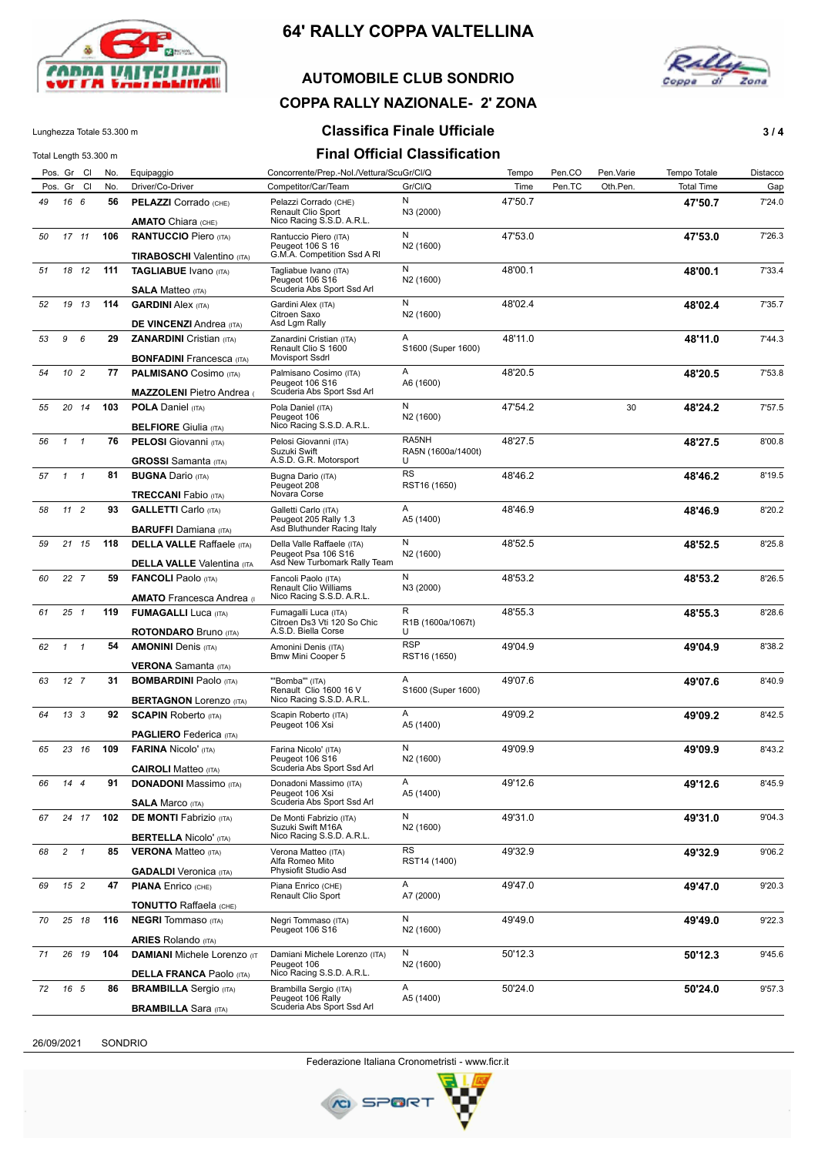

### **AUTOMOBILE CLUB SONDRIO**



# **COPPA RALLY NAZIONALE- 2' ZONA**

### Lunghezza Totale 53.300 m **Classifica Finale Ufficiale 3/4**

Total Length 53.300 m **Final Official Classification**

|    |                 | Pos. Gr Cl    | No. | Equipaggio                                                            | Concorrente/Prep.-Nol./Vettura/ScuGr/Cl/Q                                  |                                | Tempo   | Pen.CO | Pen.Varie | Tempo Totale      | Distacco |
|----|-----------------|---------------|-----|-----------------------------------------------------------------------|----------------------------------------------------------------------------|--------------------------------|---------|--------|-----------|-------------------|----------|
|    |                 | Pos. Gr Cl    | No. | Driver/Co-Driver                                                      | Competitor/Car/Team                                                        | Gr/Cl/Q                        | Time    | Pen.TC | Oth.Pen.  | <b>Total Time</b> | Gap      |
| 49 | 16 6            |               | 56  | PELAZZI Corrado (CHE)                                                 | Pelazzi Corrado (CHE)<br>Renault Clio Sport                                | N<br>N3 (2000)                 | 47'50.7 |        |           | 47'50.7           | 7'24.0   |
| 50 |                 | 17 11         | 106 | <b>AMATO</b> Chiara (CHE)<br><b>RANTUCCIO Piero (ITA)</b>             | Nico Racing S.S.D. A.R.L.<br>Rantuccio Piero (ITA)<br>Peugeot 106 S 16     | N<br>N <sub>2</sub> (1600)     | 47'53.0 |        |           | 47'53.0           | 7'26.3   |
|    |                 |               |     | <b>TIRABOSCHI</b> Valentino (ITA)                                     | G.M.A. Competition Ssd A RI                                                |                                |         |        |           |                   |          |
| 51 |                 | 18 12         | 111 | <b>TAGLIABUE</b> Ivano (ITA)<br><b>SALA Matteo</b> (ITA)              | Tagliabue Ivano (ITA)<br>Peugeot 106 S16<br>Scuderia Abs Sport Ssd Arl     | N<br>N <sub>2</sub> (1600)     | 48'00.1 |        |           | 48'00.1           | 7'33.4   |
| 52 |                 | 19 13         | 114 | <b>GARDINI Alex (ITA)</b><br><b>DE VINCENZI Andrea (ITA)</b>          | Gardini Alex (ITA)<br>Citroen Saxo<br>Asd Lgm Rally                        | N<br>N <sub>2</sub> (1600)     | 48'02.4 |        |           | 48'02.4           | 7'35.7   |
| 53 | 9               | 6             | 29  | <b>ZANARDINI</b> Cristian (ITA)<br><b>BONFADINI</b> Francesca (ITA)   | Zanardini Cristian (ITA)<br>Renault Clio S 1600<br>Movisport Ssdrl         | Α<br>S1600 (Super 1600)        | 48'11.0 |        |           | 48'11.0           | 7'44.3   |
| 54 | 10 <sub>2</sub> |               | 77  | <b>PALMISANO</b> Cosimo (ITA)                                         | Palmisano Cosimo (ITA)<br>Peugeot 106 S16<br>Scuderia Abs Sport Ssd Arl    | A<br>A6 (1600)                 | 48'20.5 |        |           | 48'20.5           | 7'53.8   |
| 55 |                 | 20 14         | 103 | <b>MAZZOLENI</b> Pietro Andrea<br><b>POLA Daniel (ITA)</b>            | Pola Daniel (ITA)<br>Peugeot 106                                           | N<br>N <sub>2</sub> (1600)     | 47'54.2 |        | 30        | 48'24.2           | 7'57.5   |
| 56 | $1 \quad 1$     |               | 76  | <b>BELFIORE</b> Giulia (ITA)<br><b>PELOSI</b> Giovanni (ITA)          | Nico Racing S.S.D. A.R.L.<br>Pelosi Giovanni (ITA)<br>Suzuki Swift         | RA5NH<br>RA5N (1600a/1400t)    | 48'27.5 |        |           | 48'27.5           | 8'00.8   |
| 57 | $1 \quad 1$     |               | 81  | <b>GROSSI</b> Samanta (ITA)<br><b>BUGNA Dario (ITA)</b>               | A.S.D. G.R. Motorsport<br>Bugna Dario (ITA)<br>Peugeot 208                 | U<br><b>RS</b><br>RST16 (1650) | 48'46.2 |        |           | 48'46.2           | 8'19.5   |
| 58 | 11 <sub>2</sub> |               | 93  | <b>TRECCANI</b> Fabio (ITA)<br><b>GALLETTI</b> Carlo (ITA)            | Novara Corse<br>Galletti Carlo (ITA)                                       | A                              | 48'46.9 |        |           | 48'46.9           | 8'20.2   |
|    |                 |               |     | <b>BARUFFI</b> Damiana (ITA)                                          | Peugeot 205 Rally 1.3<br>Asd Bluthunder Racing Italy                       | A5 (1400)                      |         |        |           |                   |          |
| 59 |                 | $21 \quad 15$ | 118 | <b>DELLA VALLE</b> Raffaele (ITA)                                     | Della Valle Raffaele (ITA)<br>Peugeot Psa 106 S16                          | N<br>N <sub>2</sub> (1600)     | 48'52.5 |        |           | 48'52.5           | 8'25.8   |
|    |                 |               |     | <b>DELLA VALLE</b> Valentina (ITA                                     | Asd New Turbomark Rally Team                                               |                                |         |        |           |                   |          |
| 60 |                 | 22 7          | 59  | <b>FANCOLI</b> Paolo (ITA)<br><b>AMATO</b> Francesca Andrea (1)       | Fancoli Paolo (ITA)<br>Renault Clio Williams<br>Nico Racing S.S.D. A.R.L.  | N<br>N3 (2000)                 | 48'53.2 |        |           | 48'53.2           | 8'26.5   |
| 61 | $25 \t1$        |               | 119 | <b>FUMAGALLI</b> Luca (ITA)<br><b>ROTONDARO</b> Bruno (ITA)           | Fumagalli Luca (ITA)<br>Citroen Ds3 Vti 120 So Chic<br>A.S.D. Biella Corse | R<br>R1B (1600a/1067t)<br>U    | 48'55.3 |        |           | 48'55.3           | 8'28.6   |
| 62 | $1 \quad 1$     |               | 54  | <b>AMONINI</b> Denis (ITA)                                            | Amonini Denis (ITA)<br>Bmw Mini Cooper 5                                   | <b>RSP</b><br>RST16 (1650)     | 49'04.9 |        |           | 49'04.9           | 8'38.2   |
|    |                 |               |     | <b>VERONA</b> Samanta (ITA)                                           |                                                                            |                                |         |        |           |                   |          |
| 63 | 12 <sub>7</sub> |               | 31  | <b>BOMBARDINI Paolo (ITA)</b><br><b>BERTAGNON Lorenzo (ITA)</b>       | "Bomba" (ITA)<br>Renault Clio 1600 16 V<br>Nico Racing S.S.D. A.R.L.       | A<br>S1600 (Super 1600)        | 49'07.6 |        |           | 49'07.6           | 8'40.9   |
| 64 | 13 <sup>3</sup> |               | 92  | <b>SCAPIN Roberto (ITA)</b>                                           | Scapin Roberto (ITA)<br>Peugeot 106 Xsi                                    | A<br>A5 (1400)                 | 49'09.2 |        |           | 49'09.2           | 8'42.5   |
|    |                 |               |     | <b>PAGLIERO</b> Federica (ITA)                                        |                                                                            |                                |         |        |           |                   |          |
| 65 |                 | 23 16         | 109 | <b>FARINA Nicolo' (ITA)</b><br><b>CAIROLI</b> Matteo (ITA)            | Farina Nicolo' (ITA)<br>Peugeot 106 S16<br>Scuderia Abs Sport Ssd Arl      | N<br>N <sub>2</sub> (1600)     | 49'09.9 |        |           | 49'09.9           | 8'43.2   |
| 66 | $14$ 4          |               | 91  | <b>DONADONI</b> Massimo (ITA)<br><b>SALA Marco (ITA)</b>              | Donadoni Massimo (ITA)<br>Peugeot 106 Xsi<br>Scuderia Abs Sport Ssd Arl    | A<br>A5 (1400)                 | 49'12.6 |        |           | 49'12.6           | 8'45.9   |
| 67 |                 | 24 17         | 102 | <b>DE MONTI Fabrizio</b> (ITA)<br><b>BERTELLA Nicolo' (ITA)</b>       | De Monti Fabrizio (ITA)<br>Suzuki Swift M16A<br>Nico Racing S.S.D. A.R.L.  | N<br>N <sub>2</sub> (1600)     | 49'31.0 |        |           | 49'31.0           | 9'04.3   |
| 68 | $2 \quad 1$     |               | 85  | <b>VERONA</b> Matteo (ITA)                                            | Verona Matteo (ITA)<br>Alfa Romeo Mito                                     | RS<br>RST14 (1400)             | 49'32.9 |        |           | 49'32.9           | 9'06.2   |
| 69 | 15 2            |               | 47  | <b>GADALDI</b> Veronica (ITA)<br><b>PIANA Enrico (CHE)</b>            | Physiofit Studio Asd<br>Piana Enrico (CHE)                                 | A                              | 49'47.0 |        |           | 49'47.0           | 9'20.3   |
|    |                 |               |     | <b>TONUTTO Raffaela</b> (CHE)                                         | Renault Clio Sport                                                         | A7 (2000)                      |         |        |           |                   |          |
| 70 |                 | 25 18         | 116 | <b>NEGRI</b> Tommaso (ITA)                                            | Negri Tommaso (ITA)<br>Peugeot 106 S16                                     | N<br>N <sub>2</sub> (1600)     | 49'49.0 |        |           | 49'49.0           | 9'22.3   |
|    |                 |               |     | <b>ARIES</b> Rolando (ITA)                                            |                                                                            |                                |         |        |           |                   |          |
| 71 |                 | 26 19         | 104 | <b>DAMIANI</b> Michele Lorenzo (IT<br><b>DELLA FRANCA Paolo (ITA)</b> | Damiani Michele Lorenzo (ITA)<br>Peugeot 106<br>Nico Racing S.S.D. A.R.L.  | N<br>N <sub>2</sub> (1600)     | 50'12.3 |        |           | 50'12.3           | 9'45.6   |
| 72 | 16 5            |               | 86  | <b>BRAMBILLA</b> Sergio (ITA)                                         | Brambilla Sergio (ITA)                                                     | A                              | 50'24.0 |        |           | 50'24.0           | 9'57.3   |
|    |                 |               |     | <b>BRAMBILLA Sara (ITA)</b>                                           | Peugeot 106 Rally<br>Scuderia Abs Sport Ssd Arl                            | A5 (1400)                      |         |        |           |                   |          |

26/09/2021 SONDRIO